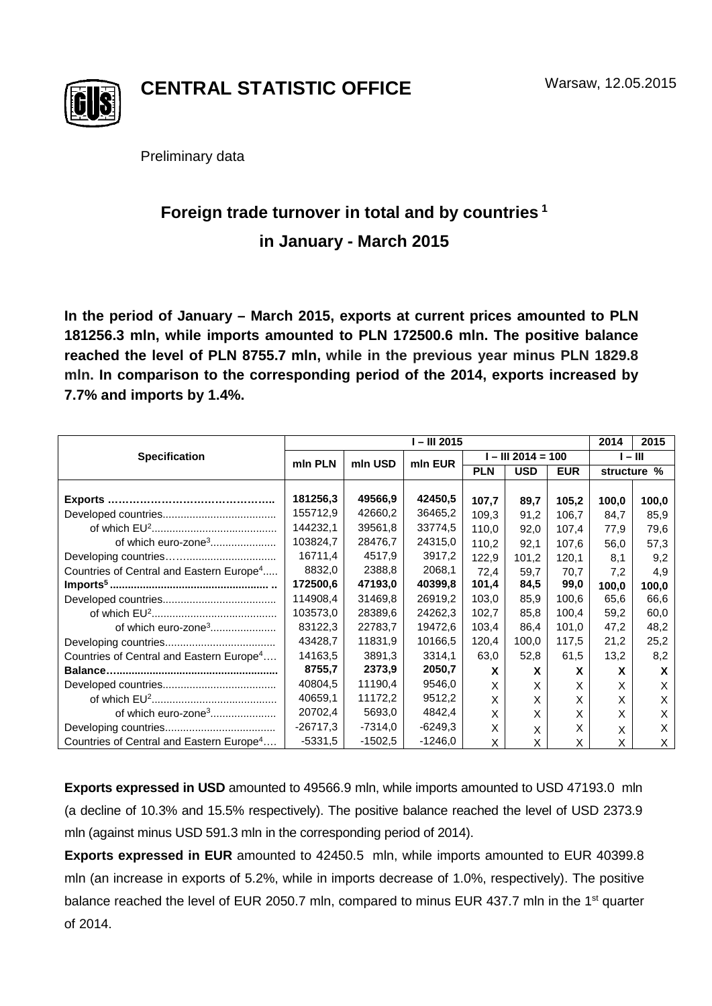

**CENTRAL STATISTIC OFFICE**

Preliminary data

## **Foreign trade turnover in total and by countries <sup>1</sup> in January - March 2015**

**In the period of January – March 2015, exports at current prices amounted to PLN 181256.3 mln, while imports amounted to PLN 172500.6 mln. The positive balance reached the level of PLN 8755.7 mln, while in the previous year minus PLN 1829.8 mln. In comparison to the corresponding period of the 2014, exports increased by 7.7% and imports by 1.4%.**

|                                                      | I-III 2015 |           |           |                      |            |            | 2014      | 2015        |
|------------------------------------------------------|------------|-----------|-----------|----------------------|------------|------------|-----------|-------------|
| <b>Specification</b>                                 | min PLN    | mln USD   | min EUR   | $I - III 2014 = 100$ |            |            | $I - III$ |             |
|                                                      |            |           |           | <b>PLN</b>           | <b>USD</b> | <b>EUR</b> |           | structure % |
|                                                      | 181256,3   | 49566,9   | 42450.5   | 107,7                | 89.7       | 105,2      | 100,0     | 100,0       |
|                                                      | 155712,9   | 42660,2   | 36465,2   | 109.3                | 91,2       | 106,7      | 84,7      | 85,9        |
|                                                      | 144232,1   | 39561,8   | 33774,5   | 110.0                | 92,0       | 107,4      | 77.9      | 79,6        |
| of which euro-zone <sup>3</sup>                      | 103824,7   | 28476,7   | 24315,0   | 110,2                | 92,1       | 107.6      | 56,0      | 57,3        |
|                                                      | 16711,4    | 4517,9    | 3917,2    | 122,9                | 101.2      | 120,1      | 8,1       | 9.2         |
| Countries of Central and Eastern Europe <sup>4</sup> | 8832,0     | 2388,8    | 2068,1    | 72.4                 | 59.7       | 70,7       | 7,2       | 4,9         |
|                                                      | 172500,6   | 47193,0   | 40399,8   | 101,4                | 84,5       | 99,0       | 100,0     | 100,0       |
|                                                      | 114908,4   | 31469.8   | 26919,2   | 103,0                | 85,9       | 100,6      | 65,6      | 66,6        |
|                                                      | 103573,0   | 28389.6   | 24262,3   | 102.7                | 85,8       | 100.4      | 59,2      | 60,0        |
|                                                      | 83122,3    | 22783,7   | 19472,6   | 103,4                | 86,4       | 101,0      | 47,2      | 48,2        |
|                                                      | 43428.7    | 11831.9   | 10166.5   | 120,4                | 100.0      | 117,5      | 21,2      | 25,2        |
| Countries of Central and Eastern Europe <sup>4</sup> | 14163,5    | 3891,3    | 3314,1    | 63,0                 | 52,8       | 61,5       | 13,2      | 8,2         |
|                                                      | 8755,7     | 2373,9    | 2050,7    | X                    | X          | X          | X         | X           |
|                                                      | 40804,5    | 11190.4   | 9546.0    | X                    | X          | X          | X         | X           |
|                                                      | 40659,1    | 11172,2   | 9512,2    | X                    | X          | X          | X         | x           |
| of which euro-zone <sup>3</sup>                      | 20702,4    | 5693,0    | 4842,4    | X                    | X          | X          | X         | X           |
|                                                      | $-26717,3$ | $-7314.0$ | $-6249.3$ | X                    | X          | X          | X         | X           |
| Countries of Central and Eastern Europe <sup>4</sup> | -5331,5    | $-1502.5$ | -1246,0   | X                    | X          | X          | X         | X           |

**Exports expressed in USD** amounted to 49566.9 mln, while imports amounted to USD 47193.0 mln (a decline of 10.3% and 15.5% respectively). The positive balance reached the level of USD 2373.9 mln (against minus USD 591.3 mln in the corresponding period of 2014).

**Exports expressed in EUR** amounted to 42450.5 mln, while imports amounted to EUR 40399.8 mln (an increase in exports of 5.2%, while in imports decrease of 1.0%, respectively). The positive balance reached the level of EUR 2050.7 mln, compared to minus EUR 437.7 mln in the 1<sup>st</sup> quarter of 2014.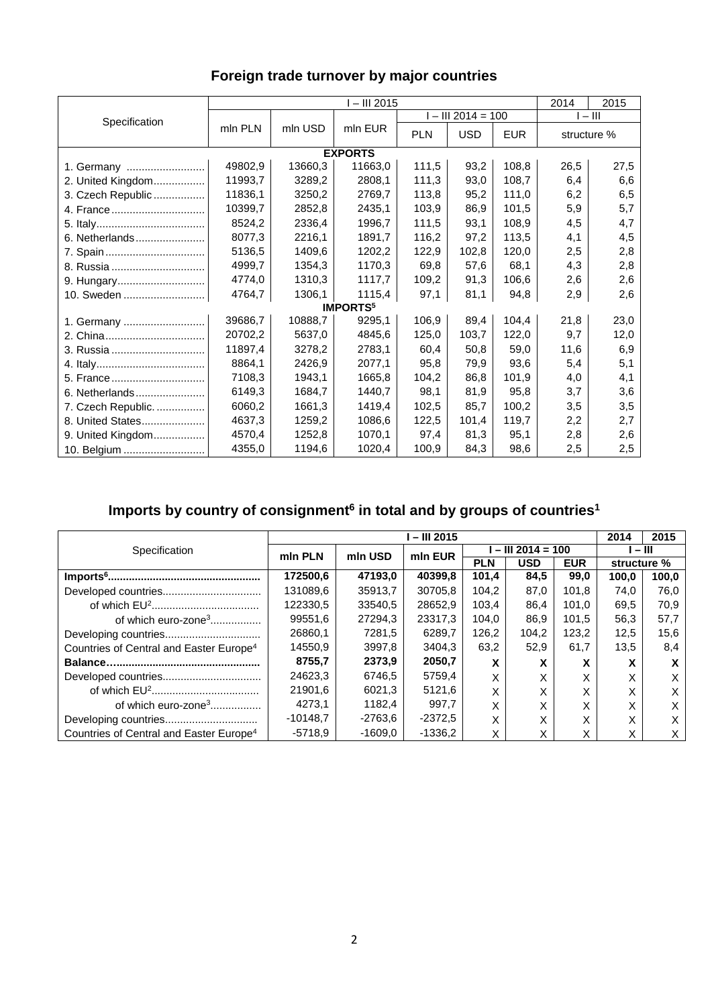|                    | $-$ III 2015 |         |                             |                      |            |            | 2014<br>2015 |      |  |
|--------------------|--------------|---------|-----------------------------|----------------------|------------|------------|--------------|------|--|
| Specification      |              | mln USD | mln EUR                     | $I - III 2014 = 100$ |            |            | $I - III$    |      |  |
|                    | mln PLN      |         |                             | <b>PLN</b>           | <b>USD</b> | <b>EUR</b> | structure %  |      |  |
| <b>EXPORTS</b>     |              |         |                             |                      |            |            |              |      |  |
| 1. Germany         | 49802,9      | 13660,3 | 11663,0                     | 111,5                | 93,2       | 108,8      | 26,5         | 27,5 |  |
| 2. United Kingdom  | 11993,7      | 3289,2  | 2808,1                      | 111,3                | 93,0       | 108,7      | 6,4          | 6,6  |  |
| 3. Czech Republic  | 11836,1      | 3250.2  | 2769.7                      | 113,8                | 95,2       | 111,0      | 6,2          | 6,5  |  |
| 4. France          | 10399,7      | 2852,8  | 2435,1                      | 103,9                | 86,9       | 101,5      | 5,9          | 5,7  |  |
|                    | 8524,2       | 2336,4  | 1996.7                      | 111.5                | 93,1       | 108,9      | 4,5          | 4,7  |  |
| 6. Netherlands     | 8077,3       | 2216,1  | 1891,7                      | 116,2                | 97,2       | 113,5      | 4,1          | 4,5  |  |
| 7. Spain           | 5136,5       | 1409,6  | 1202,2                      | 122,9                | 102,8      | 120,0      | 2,5          | 2,8  |  |
| 8. Russia          | 4999,7       | 1354,3  | 1170,3                      | 69,8                 | 57,6       | 68,1       | 4,3          | 2,8  |  |
| 9. Hungary         | 4774,0       | 1310,3  | 1117,7                      | 109,2                | 91,3       | 106,6      | 2,6          | 2,6  |  |
| 10. Sweden         | 4764,7       | 1306,1  | 1115,4                      | 97,1                 | 81,1       | 94,8       | 2,9          | 2,6  |  |
|                    |              |         | <b>IMPORTS</b> <sup>5</sup> |                      |            |            |              |      |  |
| 1. Germany         | 39686,7      | 10888,7 | 9295,1                      | 106,9                | 89,4       | 104,4      | 21,8         | 23,0 |  |
| 2. China           | 20702,2      | 5637,0  | 4845,6                      | 125,0                | 103,7      | 122,0      | 9,7          | 12,0 |  |
| 3. Russia          | 11897,4      | 3278,2  | 2783,1                      | 60,4                 | 50,8       | 59,0       | 11,6         | 6,9  |  |
|                    | 8864,1       | 2426,9  | 2077,1                      | 95,8                 | 79,9       | 93,6       | 5,4          | 5,1  |  |
|                    | 7108.3       | 1943,1  | 1665.8                      | 104,2                | 86,8       | 101,9      | 4,0          | 4,1  |  |
| 6. Netherlands     | 6149,3       | 1684,7  | 1440.7                      | 98,1                 | 81,9       | 95,8       | 3,7          | 3,6  |  |
| 7. Czech Republic. | 6060,2       | 1661,3  | 1419,4                      | 102,5                | 85,7       | 100,2      | 3,5          | 3,5  |  |
| 8. United States   | 4637,3       | 1259,2  | 1086,6                      | 122,5                | 101,4      | 119,7      | 2,2          | 2,7  |  |
| 9. United Kingdom  | 4570,4       | 1252,8  | 1070,1                      | 97,4                 | 81,3       | 95,1       | 2,8          | 2,6  |  |
| 10. Belgium        | 4355,0       | 1194,6  | 1020,4                      | 100,9                | 84,3       | 98,6       | 2,5          | 2,5  |  |

## **Foreign trade turnover by major countries**

## Imports by country of consignment<sup>6</sup> in total and by groups of countries<sup>1</sup>

|                                                     | l – III 2015 |           |           |                    |            |            |             | 2015  |
|-----------------------------------------------------|--------------|-----------|-----------|--------------------|------------|------------|-------------|-------|
| Specification                                       | min PLN      | mln USD   | min EUR   | $-$ III 2014 = 100 |            |            | $-$ III     |       |
|                                                     |              |           |           | <b>PLN</b>         | <b>USD</b> | <b>EUR</b> | structure % |       |
|                                                     | 172500,6     | 47193.0   | 40399.8   | 101.4              | 84.5       | 99.0       | 100.0       | 100,0 |
|                                                     | 131089,6     | 35913.7   | 30705.8   | 104.2              | 87.0       | 101.8      | 74.0        | 76,0  |
|                                                     | 122330,5     | 33540.5   | 28652.9   | 103.4              | 86.4       | 101.0      | 69,5        | 70,9  |
| of which euro-zone <sup>3</sup>                     | 99551,6      | 27294,3   | 23317,3   | 104,0              | 86,9       | 101.5      | 56,3        | 57,7  |
|                                                     | 26860,1      | 7281.5    | 6289.7    | 126.2              | 104,2      | 123.2      | 12,5        | 15,6  |
| Countries of Central and Easter Europe <sup>4</sup> | 14550.9      | 3997.8    | 3404.3    | 63,2               | 52.9       | 61,7       | 13,5        | 8,4   |
|                                                     | 8755.7       | 2373.9    | 2050,7    | x                  | x          |            | x           |       |
|                                                     | 24623.3      | 6746.5    | 5759.4    | Χ                  |            |            | X           | x     |
|                                                     | 21901,6      | 6021,3    | 5121,6    | X                  | X          |            | X           |       |
| of which euro-zone <sup>3</sup>                     | 4273.1       | 1182.4    | 997.7     | Χ                  | X          |            | X           | x     |
|                                                     | $-10148.7$   | $-2763.6$ | -2372,5   | Χ                  | X          |            | X           | X     |
| Countries of Central and Easter Europe <sup>4</sup> | $-5718.9$    | $-1609.0$ | $-1336.2$ | X                  | X          |            | x           | х     |